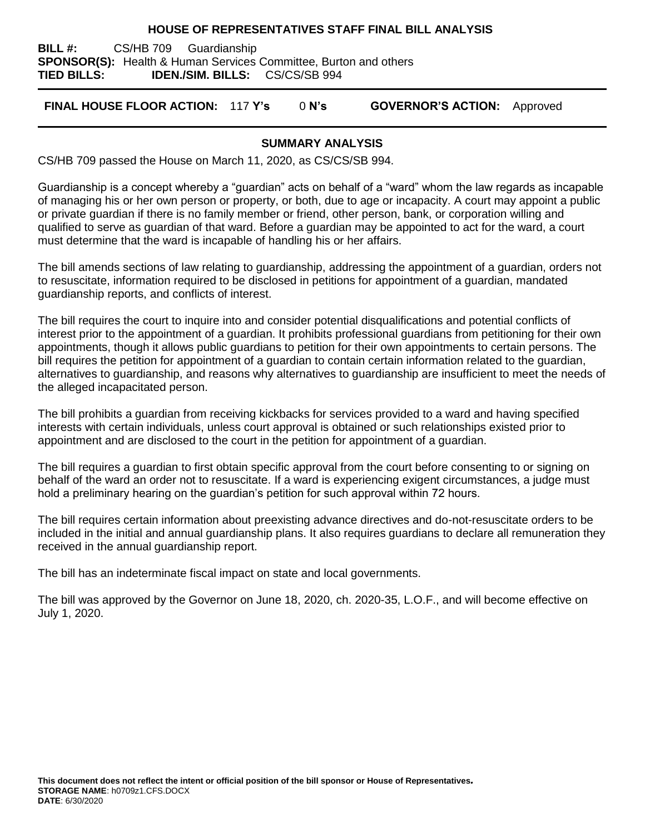#### **HOUSE OF REPRESENTATIVES STAFF FINAL BILL ANALYSIS**

**BILL #:** CS/HB 709 Guardianship **SPONSOR(S):** Health & Human Services Committee, Burton and others **TIED BILLS: IDEN./SIM. BILLS:** CS/CS/SB 994

**FINAL HOUSE FLOOR ACTION:** 117 **Y's** 0 **N's GOVERNOR'S ACTION:** Approved

#### **SUMMARY ANALYSIS**

CS/HB 709 passed the House on March 11, 2020, as CS/CS/SB 994.

Guardianship is a concept whereby a "guardian" acts on behalf of a "ward" whom the law regards as incapable of managing his or her own person or property, or both, due to age or incapacity. A court may appoint a public or private guardian if there is no family member or friend, other person, bank, or corporation willing and qualified to serve as guardian of that ward. Before a guardian may be appointed to act for the ward, a court must determine that the ward is incapable of handling his or her affairs.

The bill amends sections of law relating to guardianship, addressing the appointment of a guardian, orders not to resuscitate, information required to be disclosed in petitions for appointment of a guardian, mandated guardianship reports, and conflicts of interest.

The bill requires the court to inquire into and consider potential disqualifications and potential conflicts of interest prior to the appointment of a guardian. It prohibits professional guardians from petitioning for their own appointments, though it allows public guardians to petition for their own appointments to certain persons. The bill requires the petition for appointment of a guardian to contain certain information related to the guardian, alternatives to guardianship, and reasons why alternatives to guardianship are insufficient to meet the needs of the alleged incapacitated person.

The bill prohibits a guardian from receiving kickbacks for services provided to a ward and having specified interests with certain individuals, unless court approval is obtained or such relationships existed prior to appointment and are disclosed to the court in the petition for appointment of a guardian.

The bill requires a guardian to first obtain specific approval from the court before consenting to or signing on behalf of the ward an order not to resuscitate. If a ward is experiencing exigent circumstances, a judge must hold a preliminary hearing on the guardian's petition for such approval within 72 hours.

The bill requires certain information about preexisting advance directives and do-not-resuscitate orders to be included in the initial and annual guardianship plans. It also requires guardians to declare all remuneration they received in the annual guardianship report.

The bill has an indeterminate fiscal impact on state and local governments.

The bill was approved by the Governor on June 18, 2020, ch. 2020-35, L.O.F., and will become effective on July 1, 2020.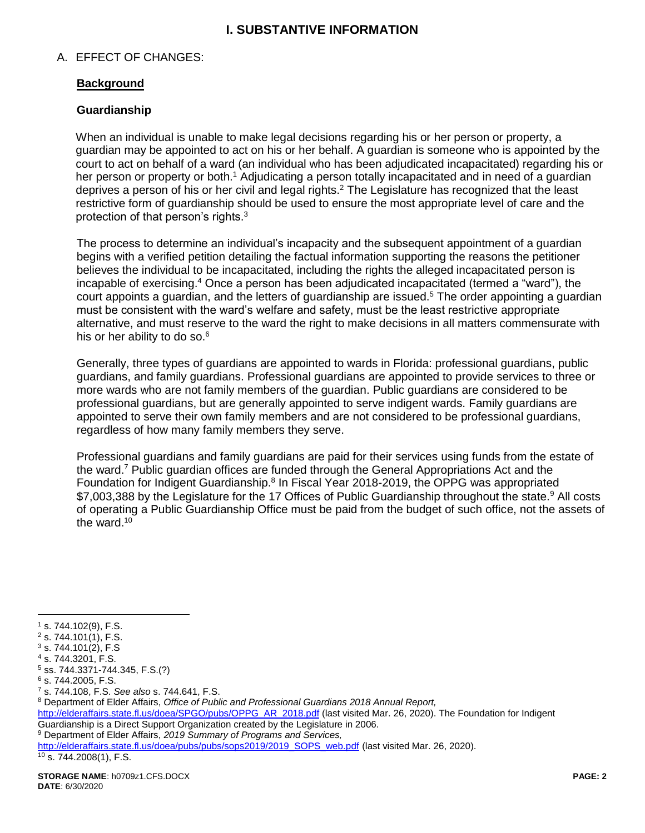# **I. SUBSTANTIVE INFORMATION**

### A. EFFECT OF CHANGES:

## **Background**

### **Guardianship**

When an individual is unable to make legal decisions regarding his or her person or property, a guardian may be appointed to act on his or her behalf. A guardian is someone who is appointed by the court to act on behalf of a ward (an individual who has been adjudicated incapacitated) regarding his or her person or property or both.<sup>1</sup> Adjudicating a person totally incapacitated and in need of a quardian deprives a person of his or her civil and legal rights.<sup>2</sup> The Legislature has recognized that the least restrictive form of guardianship should be used to ensure the most appropriate level of care and the protection of that person's rights. $3$ 

The process to determine an individual's incapacity and the subsequent appointment of a guardian begins with a verified petition detailing the factual information supporting the reasons the petitioner believes the individual to be incapacitated, including the rights the alleged incapacitated person is incapable of exercising.<sup>4</sup> Once a person has been adjudicated incapacitated (termed a "ward"), the court appoints a guardian, and the letters of guardianship are issued.<sup>5</sup> The order appointing a guardian must be consistent with the ward's welfare and safety, must be the least restrictive appropriate alternative, and must reserve to the ward the right to make decisions in all matters commensurate with his or her ability to do so.<sup>6</sup>

Generally, three types of guardians are appointed to wards in Florida: professional guardians, public guardians, and family guardians. Professional guardians are appointed to provide services to three or more wards who are not family members of the guardian. Public guardians are considered to be professional guardians, but are generally appointed to serve indigent wards. Family guardians are appointed to serve their own family members and are not considered to be professional guardians, regardless of how many family members they serve.

<span id="page-1-0"></span>Professional guardians and family guardians are paid for their services using funds from the estate of the ward.<sup>7</sup> Public guardian offices are funded through the General Appropriations Act and the Foundation for Indigent Guardianship.<sup>8</sup> In Fiscal Year 2018-2019, the OPPG was appropriated \$7,003,388 by the Legislature for the 17 Offices of Public Guardianship throughout the state.<sup>9</sup> All costs of operating a Public Guardianship Office must be paid from the budget of such office, not the assets of the ward.<sup>10</sup>

 $\overline{a}$ 

<sup>9</sup> Department of Elder Affairs, *2019 Summary of Programs and Services,*

[http://elderaffairs.state.fl.us/doea/pubs/pubs/sops2019/2019\\_SOPS\\_web.pdf](http://elderaffairs.state.fl.us/doea/pubs/pubs/sops2019/2019_SOPS_web.pdf) (last visited Mar. 26, 2020).  $10$  s. 744.2008(1), F.S.

 $1$  s. 744.102(9), F.S.

 $2$  s. 744.101(1), F.S.

 $3$  s. 744.101(2), F.S <sup>4</sup> s. 744.3201, F.S.

<sup>5</sup> ss. 744.3371-744.345, F.S.(?)

 $6$  s. 744.2005, F.S.

<sup>7</sup> s. 744.108, F.S. *See also* s. 744.641, F.S.

<sup>8</sup> Department of Elder Affairs, *Office of Public and Professional Guardians 2018 Annual Report,*

[http://elderaffairs.state.fl.us/doea/SPGO/pubs/OPPG\\_AR\\_2018.pdf](http://elderaffairs.state.fl.us/doea/SPGO/pubs/OPPG_AR_2018.pdf) (last visited Mar. 26, 2020). The Foundation for Indigent Guardianship is a Direct Support Organization created by the Legislature in 2006.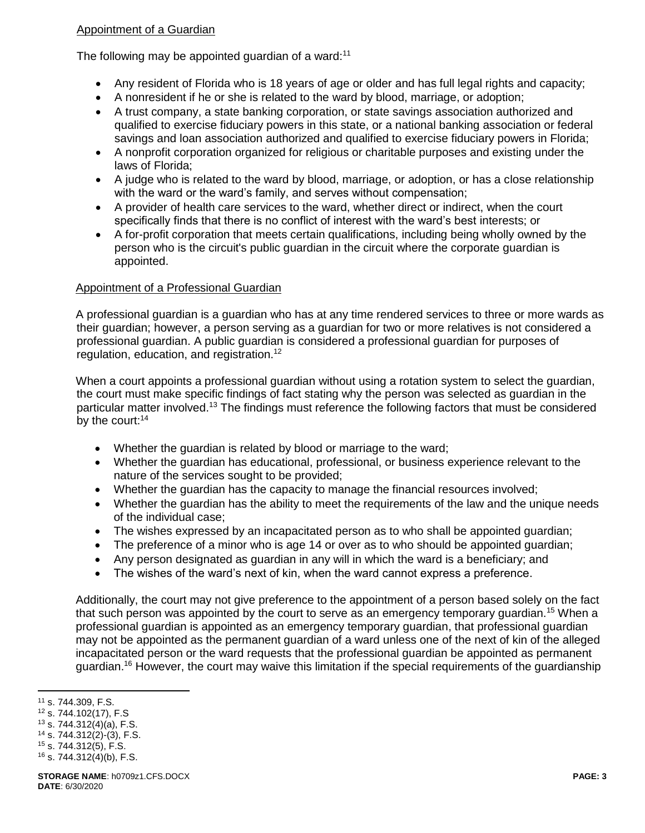# Appointment of a Guardian

The following may be appointed guardian of a ward:<sup>11</sup>

- Any resident of Florida who is 18 years of age or older and has full legal rights and capacity;
- A nonresident if he or she is related to the ward by blood, marriage, or adoption;
- A trust company, a state banking corporation, or state savings association authorized and qualified to exercise fiduciary powers in this state, or a national banking association or federal savings and loan association authorized and qualified to exercise fiduciary powers in Florida;
- A nonprofit corporation organized for religious or charitable purposes and existing under the laws of Florida;
- A judge who is related to the ward by blood, marriage, or adoption, or has a close relationship with the ward or the ward's family, and serves without compensation;
- A provider of health care services to the ward, whether direct or indirect, when the court specifically finds that there is no conflict of interest with the ward's best interests; or
- A for-profit corporation that meets certain qualifications, including being wholly owned by the person who is the circuit's public guardian in the circuit where the corporate guardian is appointed.

### Appointment of a Professional Guardian

A professional guardian is a guardian who has at any time rendered services to three or more wards as their guardian; however, a person serving as a guardian for two or more relatives is not considered a professional guardian. A public guardian is considered a professional guardian for purposes of regulation, education, and registration.<sup>12</sup>

When a court appoints a professional guardian without using a rotation system to select the guardian, the court must make specific findings of fact stating why the person was selected as guardian in the particular matter involved.<sup>13</sup> The findings must reference the following factors that must be considered by the court:<sup>14</sup>

- Whether the guardian is related by blood or marriage to the ward;
- Whether the guardian has educational, professional, or business experience relevant to the nature of the services sought to be provided;
- Whether the guardian has the capacity to manage the financial resources involved;
- Whether the guardian has the ability to meet the requirements of the law and the unique needs of the individual case;
- The wishes expressed by an incapacitated person as to who shall be appointed guardian;
- The preference of a minor who is age 14 or over as to who should be appointed quardian;
- Any person designated as guardian in any will in which the ward is a beneficiary; and
- The wishes of the ward's next of kin, when the ward cannot express a preference.

Additionally, the court may not give preference to the appointment of a person based solely on the fact that such person was appointed by the court to serve as an emergency temporary quardian.<sup>15</sup> When a professional guardian is appointed as an emergency temporary guardian, that professional guardian may not be appointed as the permanent guardian of a ward unless one of the next of kin of the alleged incapacitated person or the ward requests that the professional guardian be appointed as permanent guardian.<sup>16</sup> However, the court may waive this limitation if the special requirements of the guardianship

<sup>11</sup> s. 744.309, F.S.

<sup>12</sup> s. 744.102(17), F.S

<sup>13</sup> s. 744.312(4)(a), F.S.

 $14$  s. 744.312(2)-(3), F.S.

<sup>15</sup> s. 744.312(5), F.S.  $16$  s. 744.312(4)(b), F.S.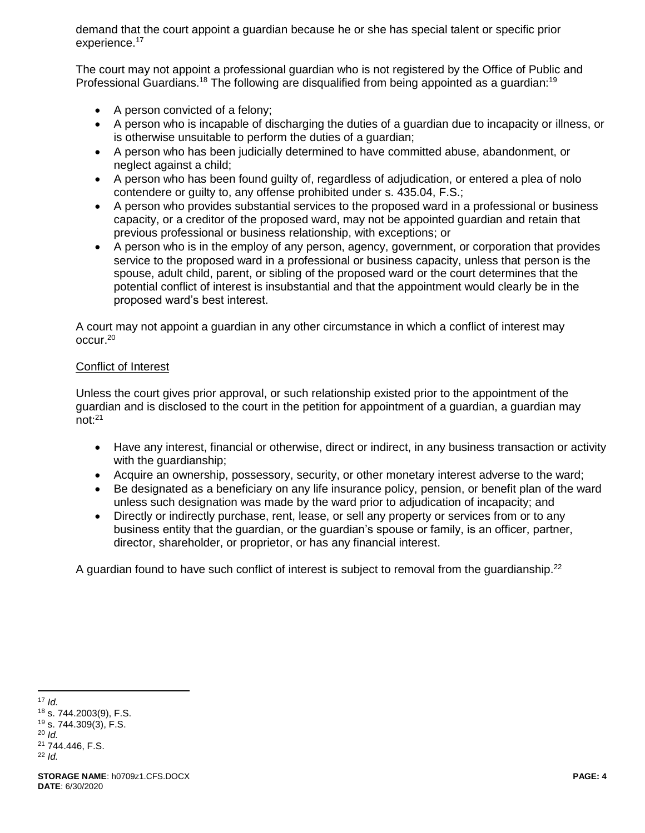demand that the court appoint a guardian because he or she has special talent or specific prior experience.<sup>17</sup>

The court may not appoint a professional guardian who is not registered by the Office of Public and Professional Guardians.<sup>18</sup> The following are disqualified from being appointed as a quardian:<sup>19</sup>

- A person convicted of a felony;
- A person who is incapable of discharging the duties of a guardian due to incapacity or illness, or is otherwise unsuitable to perform the duties of a guardian;
- A person who has been judicially determined to have committed abuse, abandonment, or neglect against a child;
- A person who has been found guilty of, regardless of adjudication, or entered a plea of nolo contendere or guilty to, any offense prohibited under s. 435.04, F.S.;
- A person who provides substantial services to the proposed ward in a professional or business capacity, or a creditor of the proposed ward, may not be appointed guardian and retain that previous professional or business relationship, with exceptions; or
- A person who is in the employ of any person, agency, government, or corporation that provides service to the proposed ward in a professional or business capacity, unless that person is the spouse, adult child, parent, or sibling of the proposed ward or the court determines that the potential conflict of interest is insubstantial and that the appointment would clearly be in the proposed ward's best interest.

A court may not appoint a guardian in any other circumstance in which a conflict of interest may occur.<sup>20</sup>

### Conflict of Interest

Unless the court gives prior approval, or such relationship existed prior to the appointment of the guardian and is disclosed to the court in the petition for appointment of a guardian, a guardian may not:<sup>21</sup>

- Have any interest, financial or otherwise, direct or indirect, in any business transaction or activity with the guardianship;
- Acquire an ownership, possessory, security, or other monetary interest adverse to the ward;
- Be designated as a beneficiary on any life insurance policy, pension, or benefit plan of the ward unless such designation was made by the ward prior to adjudication of incapacity; and
- Directly or indirectly purchase, rent, lease, or sell any property or services from or to any business entity that the guardian, or the guardian's spouse or family, is an officer, partner, director, shareholder, or proprietor, or has any financial interest.

A guardian found to have such conflict of interest is subject to removal from the guardianship.<sup>22</sup>

 $\overline{a}$ <sup>17</sup> *Id.*

<sup>18</sup> s. 744.2003(9), F.S. <sup>19</sup> s. 744.309(3), F.S. <sup>20</sup> *Id.*

<sup>21</sup> 744.446, F.S. <sup>22</sup> *Id.*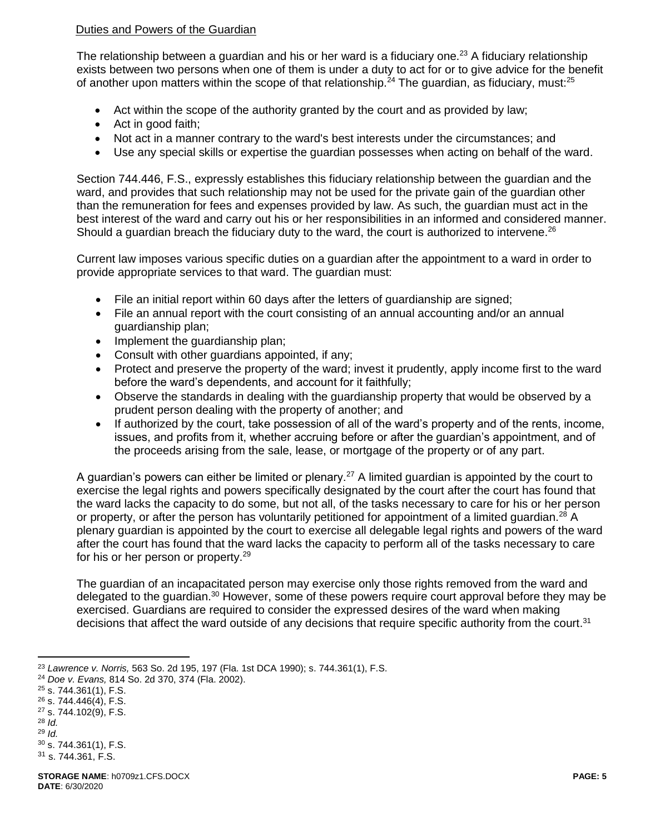## Duties and Powers of the Guardian

The relationship between a guardian and his or her ward is a fiduciary one.<sup>23</sup> A fiduciary relationship exists between two persons when one of them is under a duty to act for or to give advice for the benefit of another upon matters within the scope of that relationship.<sup>24</sup> The guardian, as fiduciary, must:<sup>25</sup>

- Act within the scope of the authority granted by the court and as provided by law;
- Act in good faith;
- Not act in a manner contrary to the ward's best interests under the circumstances; and
- Use any special skills or expertise the guardian possesses when acting on behalf of the ward.

Section 744.446, F.S., expressly establishes this fiduciary relationship between the guardian and the ward, and provides that such relationship may not be used for the private gain of the quardian other than the remuneration for fees and expenses provided by law. As such, the guardian must act in the best interest of the ward and carry out his or her responsibilities in an informed and considered manner. Should a quardian breach the fiduciary duty to the ward, the court is authorized to intervene.<sup>26</sup>

Current law imposes various specific duties on a guardian after the appointment to a ward in order to provide appropriate services to that ward. The guardian must:

- File an initial report within 60 days after the letters of guardianship are signed;
- File an annual report with the court consisting of an annual accounting and/or an annual guardianship plan;
- Implement the guardianship plan;
- Consult with other guardians appointed, if any;
- Protect and preserve the property of the ward; invest it prudently, apply income first to the ward before the ward's dependents, and account for it faithfully;
- Observe the standards in dealing with the guardianship property that would be observed by a prudent person dealing with the property of another; and
- If authorized by the court, take possession of all of the ward's property and of the rents, income, issues, and profits from it, whether accruing before or after the guardian's appointment, and of the proceeds arising from the sale, lease, or mortgage of the property or of any part.

A guardian's powers can either be limited or plenary.<sup>27</sup> A limited guardian is appointed by the court to exercise the legal rights and powers specifically designated by the court after the court has found that the ward lacks the capacity to do some, but not all, of the tasks necessary to care for his or her person or property, or after the person has voluntarily petitioned for appointment of a limited guardian.<sup>28</sup> A plenary guardian is appointed by the court to exercise all delegable legal rights and powers of the ward after the court has found that the ward lacks the capacity to perform all of the tasks necessary to care for his or her person or property.<sup>29</sup>

The guardian of an incapacitated person may exercise only those rights removed from the ward and delegated to the guardian.<sup>30</sup> However, some of these powers require court approval before they may be exercised. Guardians are required to consider the expressed desires of the ward when making decisions that affect the ward outside of any decisions that require specific authority from the court.<sup>31</sup>

- $26$  s. 744.446(4), F.S.
- $27$  s. 744.102(9), F.S.
- <sup>28</sup> *Id.* <sup>29</sup> *Id.*

<sup>23</sup> *Lawrence v. Norris,* 563 So. 2d 195, 197 (Fla. 1st DCA 1990); s. 744.361(1), F.S.

<sup>24</sup> *Doe v. Evans,* 814 So. 2d 370, 374 (Fla. 2002).

 $25$  s. 744.361(1), F.S.

 $30$  s. 744.361(1), F.S. <sup>31</sup> s. 744.361, F.S.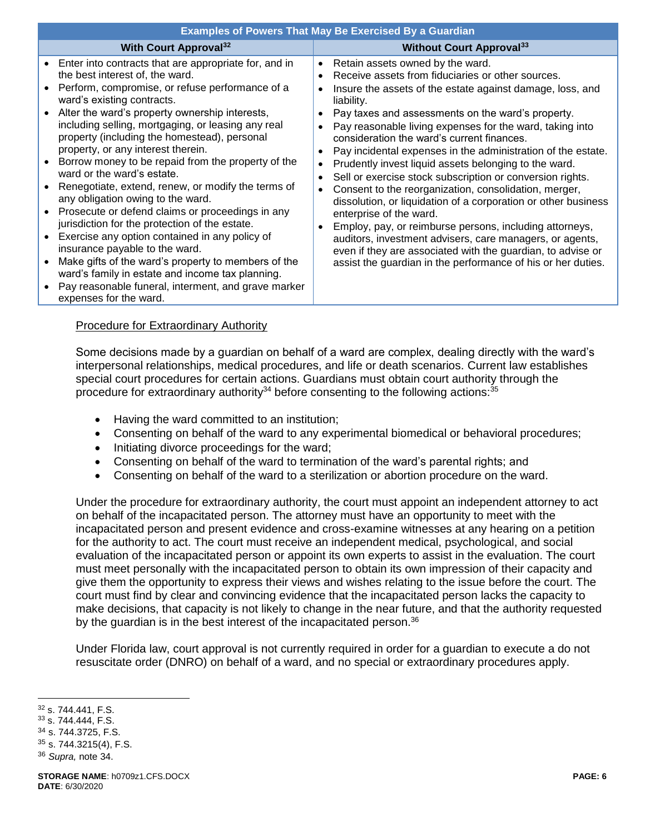| <b>Examples of Powers That May Be Exercised By a Guardian</b>                                                                                                                                                                                                                                                                                                                                                                                                                                                                                                                                                                                                                                                                                                                                                                                                                                                                                                   |                                                                                                                                                                                                                                                                                                                                                                                                                                                                                                                                                                                                                                                                                                                                                                                                                                                                                                                                                                                                                                                                     |
|-----------------------------------------------------------------------------------------------------------------------------------------------------------------------------------------------------------------------------------------------------------------------------------------------------------------------------------------------------------------------------------------------------------------------------------------------------------------------------------------------------------------------------------------------------------------------------------------------------------------------------------------------------------------------------------------------------------------------------------------------------------------------------------------------------------------------------------------------------------------------------------------------------------------------------------------------------------------|---------------------------------------------------------------------------------------------------------------------------------------------------------------------------------------------------------------------------------------------------------------------------------------------------------------------------------------------------------------------------------------------------------------------------------------------------------------------------------------------------------------------------------------------------------------------------------------------------------------------------------------------------------------------------------------------------------------------------------------------------------------------------------------------------------------------------------------------------------------------------------------------------------------------------------------------------------------------------------------------------------------------------------------------------------------------|
| <b>With Court Approval</b> <sup>32</sup>                                                                                                                                                                                                                                                                                                                                                                                                                                                                                                                                                                                                                                                                                                                                                                                                                                                                                                                        | <b>Without Court Approval</b> <sup>33</sup>                                                                                                                                                                                                                                                                                                                                                                                                                                                                                                                                                                                                                                                                                                                                                                                                                                                                                                                                                                                                                         |
| • Enter into contracts that are appropriate for, and in<br>the best interest of, the ward.<br>• Perform, compromise, or refuse performance of a<br>ward's existing contracts.<br>Alter the ward's property ownership interests,<br>including selling, mortgaging, or leasing any real<br>property (including the homestead), personal<br>property, or any interest therein.<br>• Borrow money to be repaid from the property of the<br>ward or the ward's estate.<br>Renegotiate, extend, renew, or modify the terms of<br>any obligation owing to the ward.<br>Prosecute or defend claims or proceedings in any<br>jurisdiction for the protection of the estate.<br>Exercise any option contained in any policy of<br>$\bullet$<br>insurance payable to the ward.<br>Make gifts of the ward's property to members of the<br>ward's family in estate and income tax planning.<br>Pay reasonable funeral, interment, and grave marker<br>expenses for the ward. | Retain assets owned by the ward.<br>$\bullet$<br>Receive assets from fiduciaries or other sources.<br>$\bullet$<br>Insure the assets of the estate against damage, loss, and<br>$\bullet$<br>liability.<br>Pay taxes and assessments on the ward's property.<br>$\bullet$<br>Pay reasonable living expenses for the ward, taking into<br>$\bullet$<br>consideration the ward's current finances.<br>Pay incidental expenses in the administration of the estate.<br>$\bullet$<br>Prudently invest liquid assets belonging to the ward.<br>$\bullet$<br>Sell or exercise stock subscription or conversion rights.<br>$\bullet$<br>Consent to the reorganization, consolidation, merger,<br>$\bullet$<br>dissolution, or liquidation of a corporation or other business<br>enterprise of the ward.<br>Employ, pay, or reimburse persons, including attorneys,<br>$\bullet$<br>auditors, investment advisers, care managers, or agents,<br>even if they are associated with the guardian, to advise or<br>assist the guardian in the performance of his or her duties. |

### Procedure for Extraordinary Authority

Some decisions made by a guardian on behalf of a ward are complex, dealing directly with the ward's interpersonal relationships, medical procedures, and life or death scenarios. Current law establishes special court procedures for certain actions. Guardians must obtain court authority through the procedure for extraordinary authority<sup>34</sup> before consenting to the following actions:<sup>35</sup>

- <span id="page-5-0"></span>• Having the ward committed to an institution;
- Consenting on behalf of the ward to any experimental biomedical or behavioral procedures;
- Initiating divorce proceedings for the ward;
- Consenting on behalf of the ward to termination of the ward's parental rights; and
- Consenting on behalf of the ward to a sterilization or abortion procedure on the ward.

Under the procedure for extraordinary authority, the court must appoint an independent attorney to act on behalf of the incapacitated person. The attorney must have an opportunity to meet with the incapacitated person and present evidence and cross-examine witnesses at any hearing on a petition for the authority to act. The court must receive an independent medical, psychological, and social evaluation of the incapacitated person or appoint its own experts to assist in the evaluation. The court must meet personally with the incapacitated person to obtain its own impression of their capacity and give them the opportunity to express their views and wishes relating to the issue before the court. The court must find by clear and convincing evidence that the incapacitated person lacks the capacity to make decisions, that capacity is not likely to change in the near future, and that the authority requested by the guardian is in the best interest of the incapacitated person.<sup>36</sup>

Under Florida law, court approval is not currently required in order for a guardian to execute a do not resuscitate order (DNRO) on behalf of a ward, and no special or extraordinary procedures apply.

 $\overline{a}$ 

 $35$  s. 744.3215(4), F.S.

<sup>32</sup> s. 744.441, F.S.

<sup>33</sup> s. 744.444, F.S.

<sup>34</sup> s. 744.3725, F.S.

<sup>36</sup> *Supra,* note [34.](#page-5-0)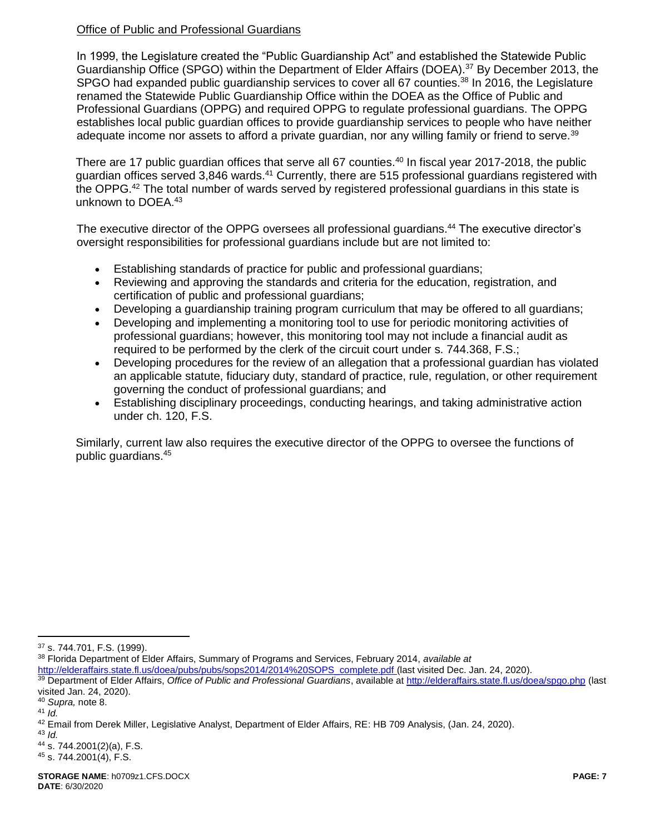# Office of Public and Professional Guardians

In 1999, the Legislature created the "Public Guardianship Act" and established the Statewide Public Guardianship Office (SPGO) within the Department of Elder Affairs (DOEA).<sup>37</sup> By December 2013, the SPGO had expanded public quardianship services to cover all 67 counties.<sup>38</sup> In 2016, the Legislature renamed the Statewide Public Guardianship Office within the DOEA as the Office of Public and Professional Guardians (OPPG) and required OPPG to regulate professional guardians. The OPPG establishes local public guardian offices to provide guardianship services to people who have neither adequate income nor assets to afford a private quardian, nor any willing family or friend to serve.<sup>39</sup>

There are 17 public guardian offices that serve all 67 counties.<sup>40</sup> In fiscal year 2017-2018, the public guardian offices served 3,846 wards.<sup>41</sup> Currently, there are 515 professional guardians registered with the OPPG.<sup>42</sup> The total number of wards served by registered professional guardians in this state is unknown to DOEA.<sup>43</sup>

The executive director of the OPPG oversees all professional guardians.<sup>44</sup> The executive director's oversight responsibilities for professional guardians include but are not limited to:

- Establishing standards of practice for public and professional guardians;
- Reviewing and approving the standards and criteria for the education, registration, and certification of public and professional guardians;
- Developing a guardianship training program curriculum that may be offered to all guardians;
- Developing and implementing a monitoring tool to use for periodic monitoring activities of professional guardians; however, this monitoring tool may not include a financial audit as required to be performed by the clerk of the circuit court under s. 744.368, F.S.;
- Developing procedures for the review of an allegation that a professional guardian has violated an applicable statute, fiduciary duty, standard of practice, rule, regulation, or other requirement governing the conduct of professional guardians; and
- Establishing disciplinary proceedings, conducting hearings, and taking administrative action under ch. 120, F.S.

Similarly, current law also requires the executive director of the OPPG to oversee the functions of public guardians.<sup>45</sup>

<sup>38</sup> Florida Department of Elder Affairs, Summary of Programs and Services, February 2014, *available at*

[http://elderaffairs.state.fl.us/doea/pubs/pubs/sops2014/2014%20SOPS\\_complete.pdf](http://elderaffairs.state.fl.us/doea/pubs/pubs/sops2014/2014%20SOPS_complete.pdf) (last visited Dec. Jan. 24, 2020).

<sup>37</sup> s. 744.701, F.S. (1999).

<sup>39</sup> Department of Elder Affairs, *Office of Public and Professional Guardians*, available at<http://elderaffairs.state.fl.us/doea/spgo.php> (last visited Jan. 24, 2020).

<sup>40</sup> *Supra,* note [8.](#page-1-0)

 $41$  *Id.* 

<sup>42</sup> Email from Derek Miller, Legislative Analyst, Department of Elder Affairs, RE: HB 709 Analysis, (Jan. 24, 2020).

<sup>43</sup> *Id.*

<sup>44</sup> s. 744.2001(2)(a), F.S.

<sup>45</sup> s. 744.2001(4), F.S.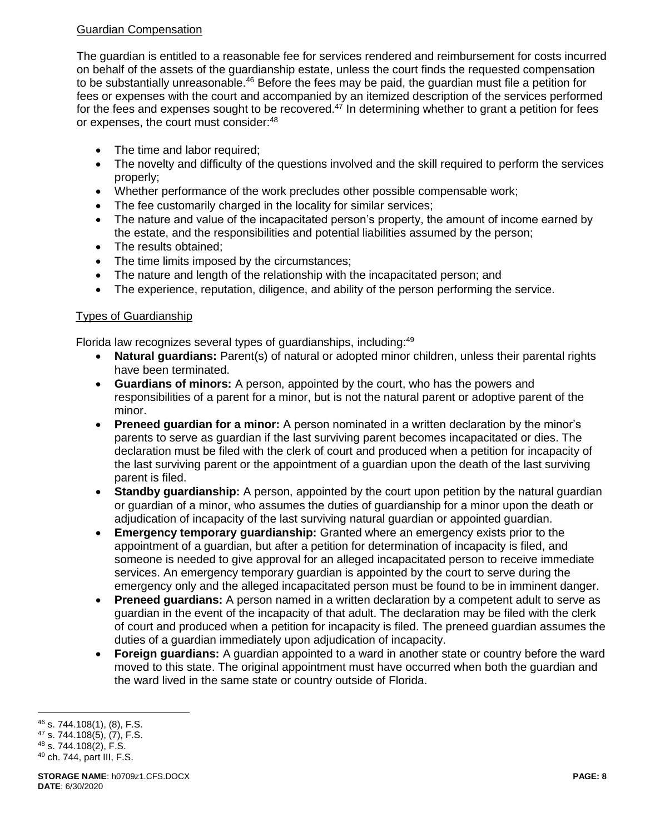# Guardian Compensation

The guardian is entitled to a reasonable fee for services rendered and reimbursement for costs incurred on behalf of the assets of the guardianship estate, unless the court finds the requested compensation to be substantially unreasonable.<sup>46</sup> Before the fees may be paid, the guardian must file a petition for fees or expenses with the court and accompanied by an itemized description of the services performed for the fees and expenses sought to be recovered.<sup>47</sup> In determining whether to grant a petition for fees or expenses, the court must consider:<sup>48</sup>

- The time and labor required;
- The novelty and difficulty of the questions involved and the skill required to perform the services properly;
- Whether performance of the work precludes other possible compensable work;
- The fee customarily charged in the locality for similar services;
- The nature and value of the incapacitated person's property, the amount of income earned by the estate, and the responsibilities and potential liabilities assumed by the person;
- The results obtained:
- The time limits imposed by the circumstances;
- The nature and length of the relationship with the incapacitated person; and
- The experience, reputation, diligence, and ability of the person performing the service.

## Types of Guardianship

Florida law recognizes several types of guardianships, including:<sup>49</sup>

- **Natural guardians:** Parent(s) of natural or adopted minor children, unless their parental rights have been terminated.
- **Guardians of minors:** A person, appointed by the court, who has the powers and responsibilities of a parent for a minor, but is not the natural parent or adoptive parent of the minor.
- **Preneed guardian for a minor:** A person nominated in a written declaration by the minor's parents to serve as guardian if the last surviving parent becomes incapacitated or dies. The declaration must be filed with the clerk of court and produced when a petition for incapacity of the last surviving parent or the appointment of a guardian upon the death of the last surviving parent is filed.
- **Standby guardianship:** A person, appointed by the court upon petition by the natural guardian or guardian of a minor, who assumes the duties of guardianship for a minor upon the death or adjudication of incapacity of the last surviving natural guardian or appointed guardian.
- **Emergency temporary guardianship:** Granted where an emergency exists prior to the appointment of a guardian, but after a petition for determination of incapacity is filed, and someone is needed to give approval for an alleged incapacitated person to receive immediate services. An emergency temporary guardian is appointed by the court to serve during the emergency only and the alleged incapacitated person must be found to be in imminent danger.
- **Preneed guardians:** A person named in a written declaration by a competent adult to serve as guardian in the event of the incapacity of that adult. The declaration may be filed with the clerk of court and produced when a petition for incapacity is filed. The preneed guardian assumes the duties of a guardian immediately upon adjudication of incapacity.
- **Foreign guardians:** A guardian appointed to a ward in another state or country before the ward moved to this state. The original appointment must have occurred when both the guardian and the ward lived in the same state or country outside of Florida.

 $\overline{a}$ <sup>46</sup> s. 744.108(1), (8), F.S.

<sup>47</sup> s. 744.108(5), (7), F.S.

<sup>48</sup> s. 744.108(2), F.S.

<sup>49</sup> ch. 744, part III, F.S.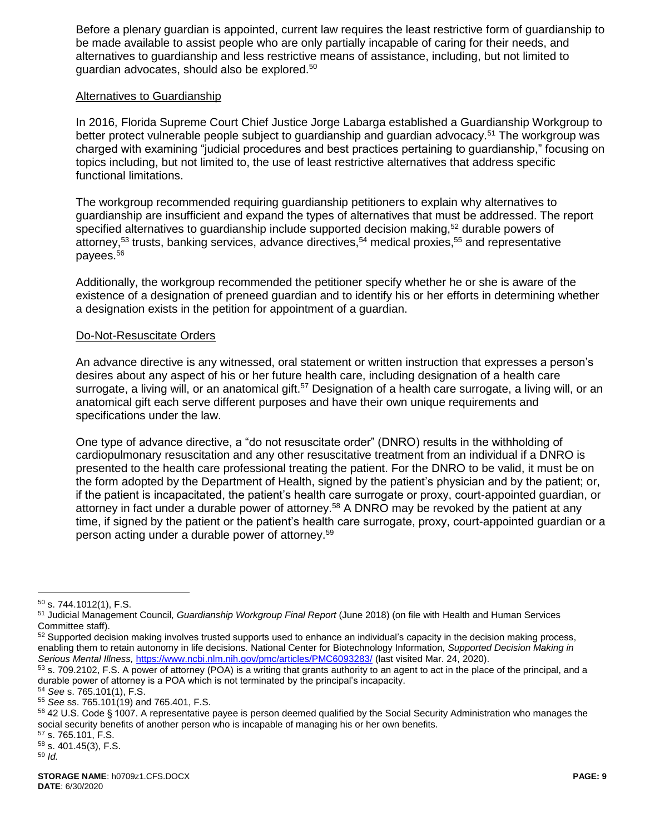Before a plenary guardian is appointed, current law requires the least restrictive form of guardianship to be made available to assist people who are only partially incapable of caring for their needs, and alternatives to guardianship and less restrictive means of assistance, including, but not limited to guardian advocates, should also be explored.<sup>50</sup>

#### Alternatives to Guardianship

In 2016, Florida Supreme Court Chief Justice Jorge Labarga established a Guardianship Workgroup to better protect vulnerable people subject to quardianship and quardian advocacy.<sup>51</sup> The workgroup was charged with examining "judicial procedures and best practices pertaining to guardianship," focusing on topics including, but not limited to, the use of least restrictive alternatives that address specific functional limitations.

The workgroup recommended requiring guardianship petitioners to explain why alternatives to guardianship are insufficient and expand the types of alternatives that must be addressed. The report specified alternatives to guardianship include supported decision making,<sup>52</sup> durable powers of attorney,<sup>53</sup> trusts, banking services, advance directives,<sup>54</sup> medical proxies,<sup>55</sup> and representative payees.<sup>56</sup>

Additionally, the workgroup recommended the petitioner specify whether he or she is aware of the existence of a designation of preneed guardian and to identify his or her efforts in determining whether a designation exists in the petition for appointment of a guardian.

### Do-Not-Resuscitate Orders

An advance directive is any witnessed, oral statement or written instruction that expresses a person's desires about any aspect of his or her future health care, including designation of a health care surrogate, a living will, or an anatomical gift.<sup>57</sup> Designation of a health care surrogate, a living will, or an anatomical gift each serve different purposes and have their own unique requirements and specifications under the law.

One type of advance directive, a "do not resuscitate order" (DNRO) results in the withholding of cardiopulmonary resuscitation and any other resuscitative treatment from an individual if a DNRO is presented to the health care professional treating the patient. For the DNRO to be valid, it must be on the form adopted by the Department of Health, signed by the patient's physician and by the patient; or, if the patient is incapacitated, the patient's health care surrogate or proxy, court-appointed guardian, or attorney in fact under a durable power of attorney.<sup>58</sup> A DNRO may be revoked by the patient at any time, if signed by the patient or the patient's health care surrogate, proxy, court-appointed guardian or a person acting under a durable power of attorney.<sup>59</sup>

 $50$  s. 744.1012(1), F.S.

<sup>51</sup> Judicial Management Council, *Guardianship Workgroup Final Report* (June 2018) (on file with Health and Human Services Committee staff).

 $52$  Supported decision making involves trusted supports used to enhance an individual's capacity in the decision making process, enabling them to retain autonomy in life decisions. National Center for Biotechnology Information, *Supported Decision Making in Serious Mental Illness,* <https://www.ncbi.nlm.nih.gov/pmc/articles/PMC6093283/> (last visited Mar. 24, 2020).

<sup>&</sup>lt;sup>53</sup> s. 709.2102, F.S. A power of attorney (POA) is a writing that grants authority to an agent to act in the place of the principal, and a durable power of attorney is a POA which is not terminated by the principal's incapacity.

<sup>54</sup> *See* s. 765.101(1), F.S.

<sup>55</sup> *See* ss. 765.101(19) and 765.401, F.S.

<sup>56</sup> 42 U.S. Code § 1007. A representative payee is person deemed qualified by the Social Security Administration who manages the social security benefits of another person who is incapable of managing his or her own benefits.

<sup>57</sup> s. 765.101, F.S.

<sup>58</sup> s. 401.45(3), F.S.

<sup>59</sup> *Id.*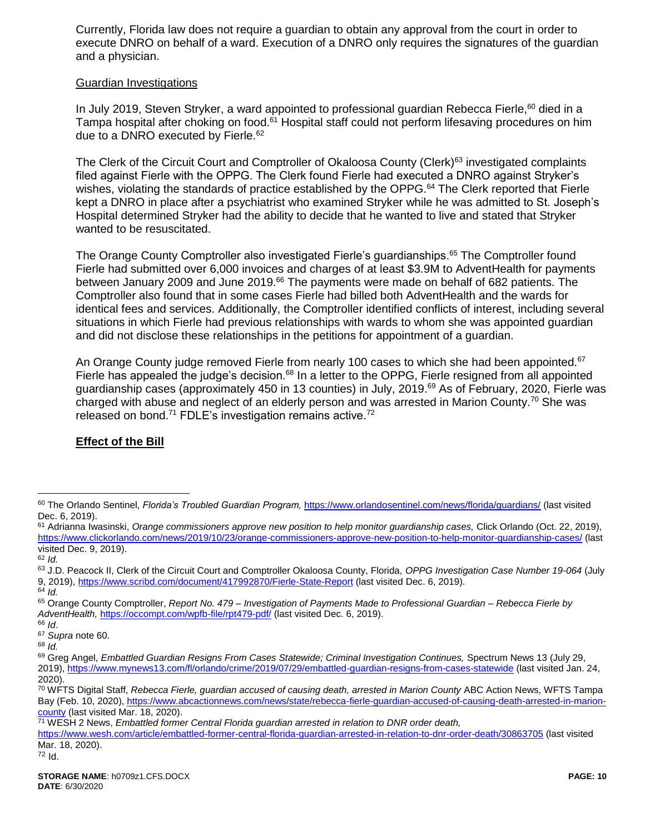Currently, Florida law does not require a guardian to obtain any approval from the court in order to execute DNRO on behalf of a ward. Execution of a DNRO only requires the signatures of the guardian and a physician.

#### Guardian Investigations

<span id="page-9-0"></span>In July 2019, Steven Stryker, a ward appointed to professional guardian Rebecca Fierle,<sup>60</sup> died in a Tampa hospital after choking on food.<sup>61</sup> Hospital staff could not perform lifesaving procedures on him due to a DNRO executed by Fierle.<sup>62</sup>

The Clerk of the Circuit Court and Comptroller of Okaloosa County (Clerk)<sup>63</sup> investigated complaints filed against Fierle with the OPPG. The Clerk found Fierle had executed a DNRO against Stryker's wishes, violating the standards of practice established by the OPPG.<sup>64</sup> The Clerk reported that Fierle kept a DNRO in place after a psychiatrist who examined Stryker while he was admitted to St. Joseph's Hospital determined Stryker had the ability to decide that he wanted to live and stated that Stryker wanted to be resuscitated.

The Orange County Comptroller also investigated Fierle's guardianships.<sup>65</sup> The Comptroller found Fierle had submitted over 6,000 invoices and charges of at least \$3.9M to AdventHealth for payments between January 2009 and June 2019.<sup>66</sup> The payments were made on behalf of 682 patients. The Comptroller also found that in some cases Fierle had billed both AdventHealth and the wards for identical fees and services. Additionally, the Comptroller identified conflicts of interest, including several situations in which Fierle had previous relationships with wards to whom she was appointed guardian and did not disclose these relationships in the petitions for appointment of a guardian.

An Orange County judge removed Fierle from nearly 100 cases to which she had been appointed.<sup>67</sup> Fierle has appealed the judge's decision.<sup>68</sup> In a letter to the OPPG, Fierle resigned from all appointed guardianship cases (approximately 450 in 13 counties) in July, 2019.<sup>69</sup> As of February, 2020, Fierle was charged with abuse and neglect of an elderly person and was arrested in Marion County.<sup>70</sup> She was released on bond.<sup>71</sup> FDLE's investigation remains active.<sup>72</sup>

# **Effect of the Bill**

<sup>60</sup> The Orlando Sentinel, *Florida's Troubled Guardian Program,* <https://www.orlandosentinel.com/news/florida/guardians/> (last visited Dec. 6, 2019).

<sup>61</sup> Adrianna Iwasinski, *Orange commissioners approve new position to help monitor guardianship cases,* Click Orlando (Oct. 22, 2019), <https://www.clickorlando.com/news/2019/10/23/orange-commissioners-approve-new-position-to-help-monitor-guardianship-cases/> (last visited Dec. 9, 2019). <sup>62</sup> *Id.*

<sup>63</sup> J.D. Peacock II, Clerk of the Circuit Court and Comptroller Okaloosa County, Florida, *OPPG Investigation Case Number 19-064* (July 9, 2019),<https://www.scribd.com/document/417992870/Fierle-State-Report> (last visited Dec. 6, 2019). <sup>64</sup> *Id.*

<sup>65</sup> Orange County Comptroller, *Report No. 479 – Investigation of Payments Made to Professional Guardian – Rebecca Fierle by*  AdventHealth, <https://occompt.com/wpfb-file/rpt479-pdf/> (last visited Dec. 6, 2019).

<sup>66</sup> *Id*. <sup>67</sup> *Supra* not[e 60.](#page-9-0)

<sup>68</sup> *Id.*

<sup>69</sup> Greg Angel, *Embattled Guardian Resigns From Cases Statewide; Criminal Investigation Continues,* Spectrum News 13 (July 29, 2019),<https://www.mynews13.com/fl/orlando/crime/2019/07/29/embattled-guardian-resigns-from-cases-statewide> (last visited Jan. 24, 2020).

<sup>70</sup> WFTS Digital Staff, *Rebecca Fierle, guardian accused of causing death, arrested in Marion County* ABC Action News, WFTS Tampa Bay (Feb. 10, 2020)[, https://www.abcactionnews.com/news/state/rebecca-fierle-guardian-accused-of-causing-death-arrested-in-marion](https://www.abcactionnews.com/news/state/rebecca-fierle-guardian-accused-of-causing-death-arrested-in-marion-county)[county](https://www.abcactionnews.com/news/state/rebecca-fierle-guardian-accused-of-causing-death-arrested-in-marion-county) (last visited Mar. 18, 2020).

<sup>71</sup> WESH 2 News, *Embattled former Central Florida guardian arrested in relation to DNR order death,* 

<https://www.wesh.com/article/embattled-former-central-florida-guardian-arrested-in-relation-to-dnr-order-death/30863705> (last visited Mar. 18, 2020).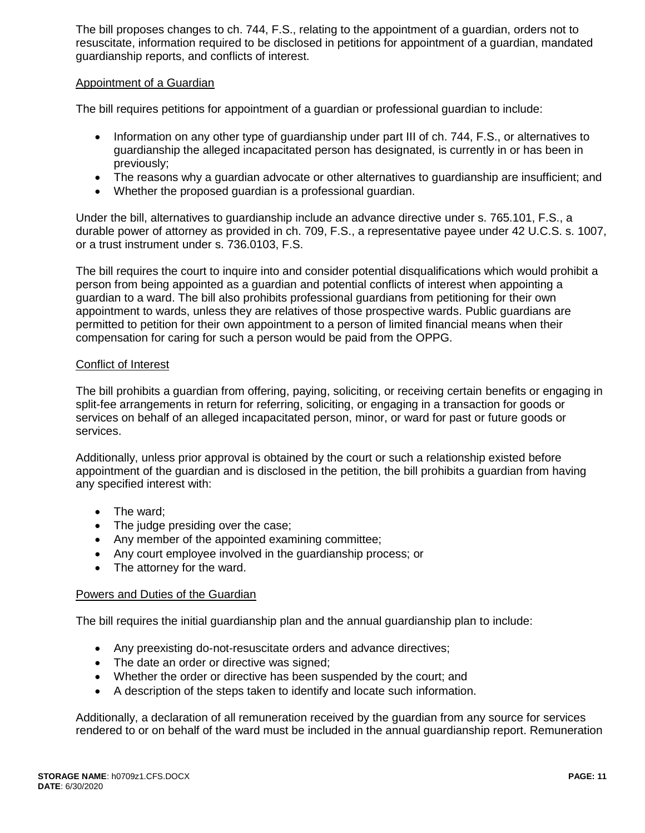The bill proposes changes to ch. 744, F.S., relating to the appointment of a guardian, orders not to resuscitate, information required to be disclosed in petitions for appointment of a guardian, mandated guardianship reports, and conflicts of interest.

### Appointment of a Guardian

The bill requires petitions for appointment of a guardian or professional guardian to include:

- Information on any other type of quardianship under part III of ch. 744, F.S., or alternatives to guardianship the alleged incapacitated person has designated, is currently in or has been in previously;
- The reasons why a guardian advocate or other alternatives to guardianship are insufficient; and
- Whether the proposed guardian is a professional guardian.

Under the bill, alternatives to guardianship include an advance directive under s. 765.101, F.S., a durable power of attorney as provided in ch. 709, F.S., a representative payee under 42 U.C.S. s. 1007, or a trust instrument under s. 736.0103, F.S.

The bill requires the court to inquire into and consider potential disqualifications which would prohibit a person from being appointed as a guardian and potential conflicts of interest when appointing a guardian to a ward. The bill also prohibits professional guardians from petitioning for their own appointment to wards, unless they are relatives of those prospective wards. Public guardians are permitted to petition for their own appointment to a person of limited financial means when their compensation for caring for such a person would be paid from the OPPG.

### Conflict of Interest

The bill prohibits a guardian from offering, paying, soliciting, or receiving certain benefits or engaging in split-fee arrangements in return for referring, soliciting, or engaging in a transaction for goods or services on behalf of an alleged incapacitated person, minor, or ward for past or future goods or services.

Additionally, unless prior approval is obtained by the court or such a relationship existed before appointment of the guardian and is disclosed in the petition, the bill prohibits a guardian from having any specified interest with:

- The ward;
- The judge presiding over the case;
- Any member of the appointed examining committee;
- Any court employee involved in the guardianship process; or
- The attorney for the ward.

### Powers and Duties of the Guardian

The bill requires the initial guardianship plan and the annual guardianship plan to include:

- Any preexisting do-not-resuscitate orders and advance directives;
- The date an order or directive was signed;
- Whether the order or directive has been suspended by the court; and
- A description of the steps taken to identify and locate such information.

Additionally, a declaration of all remuneration received by the guardian from any source for services rendered to or on behalf of the ward must be included in the annual guardianship report. Remuneration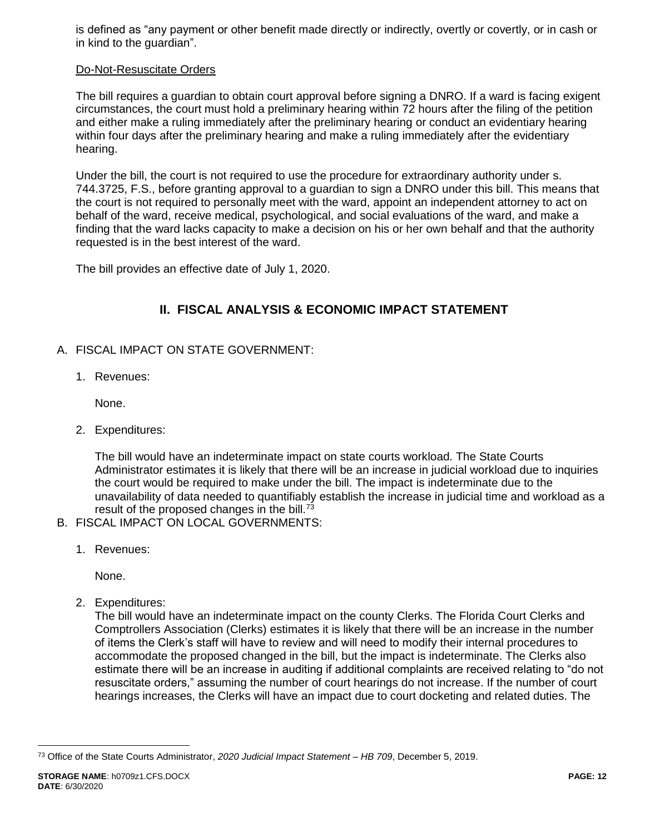is defined as "any payment or other benefit made directly or indirectly, overtly or covertly, or in cash or in kind to the guardian".

### Do-Not-Resuscitate Orders

The bill requires a guardian to obtain court approval before signing a DNRO. If a ward is facing exigent circumstances, the court must hold a preliminary hearing within 72 hours after the filing of the petition and either make a ruling immediately after the preliminary hearing or conduct an evidentiary hearing within four days after the preliminary hearing and make a ruling immediately after the evidentiary hearing.

Under the bill, the court is not required to use the procedure for extraordinary authority under s. 744.3725, F.S., before granting approval to a guardian to sign a DNRO under this bill. This means that the court is not required to personally meet with the ward, appoint an independent attorney to act on behalf of the ward, receive medical, psychological, and social evaluations of the ward, and make a finding that the ward lacks capacity to make a decision on his or her own behalf and that the authority requested is in the best interest of the ward.

The bill provides an effective date of July 1, 2020.

# **II. FISCAL ANALYSIS & ECONOMIC IMPACT STATEMENT**

- A. FISCAL IMPACT ON STATE GOVERNMENT:
	- 1. Revenues:

None.

2. Expenditures:

The bill would have an indeterminate impact on state courts workload. The State Courts Administrator estimates it is likely that there will be an increase in judicial workload due to inquiries the court would be required to make under the bill. The impact is indeterminate due to the unavailability of data needed to quantifiably establish the increase in judicial time and workload as a result of the proposed changes in the bill. $^{73}$ 

- B. FISCAL IMPACT ON LOCAL GOVERNMENTS:
	- 1. Revenues:

None.

2. Expenditures:

The bill would have an indeterminate impact on the county Clerks. The Florida Court Clerks and Comptrollers Association (Clerks) estimates it is likely that there will be an increase in the number of items the Clerk's staff will have to review and will need to modify their internal procedures to accommodate the proposed changed in the bill, but the impact is indeterminate. The Clerks also estimate there will be an increase in auditing if additional complaints are received relating to "do not resuscitate orders," assuming the number of court hearings do not increase. If the number of court hearings increases, the Clerks will have an impact due to court docketing and related duties. The

<sup>73</sup> Office of the State Courts Administrator, *2020 Judicial Impact Statement – HB 709*, December 5, 2019.